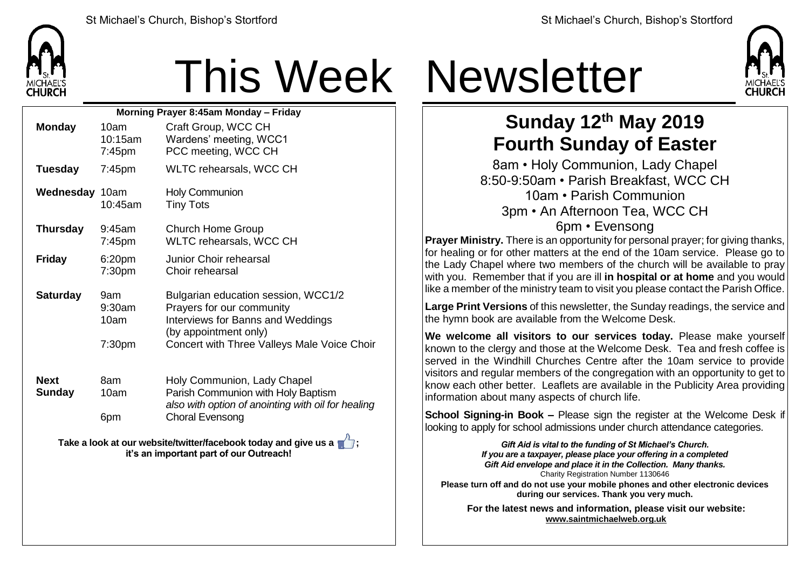

| Morning Prayer 8:45am Monday - Friday |                                             |                                                                                                                                                                               |  |  |  |
|---------------------------------------|---------------------------------------------|-------------------------------------------------------------------------------------------------------------------------------------------------------------------------------|--|--|--|
| <b>Monday</b>                         | 10am<br>10:15am<br>7:45pm                   | Craft Group, WCC CH<br>Wardens' meeting, WCC1<br>PCC meeting, WCC CH                                                                                                          |  |  |  |
| <b>Tuesday</b>                        | $7:45$ pm                                   | <b>WLTC rehearsals, WCC CH</b>                                                                                                                                                |  |  |  |
| Wednesday 10am                        | 10:45am                                     | <b>Holy Communion</b><br><b>Tiny Tots</b>                                                                                                                                     |  |  |  |
| <b>Thursday</b>                       | 9:45am<br>$7:45$ pm                         | <b>Church Home Group</b><br>WLTC rehearsals, WCC CH                                                                                                                           |  |  |  |
| <b>Friday</b>                         | 6:20pm<br>7:30pm                            | Junior Choir rehearsal<br>Choir rehearsal                                                                                                                                     |  |  |  |
| <b>Saturday</b>                       | 9am<br>9:30am<br>10am<br>7:30 <sub>pm</sub> | Bulgarian education session, WCC1/2<br>Prayers for our community<br>Interviews for Banns and Weddings<br>(by appointment only)<br>Concert with Three Valleys Male Voice Choir |  |  |  |
| <b>Next</b><br>Sunday                 | 8am<br>10am<br>6pm                          | Holy Communion, Lady Chapel<br>Parish Communion with Holy Baptism<br>also with option of anointing with oil for healing<br><b>Choral Evensong</b>                             |  |  |  |

**Take a look at our website/twitter/facebook today and give us a**  $\blacksquare$ **; it's an important part of our Outreach!**

## This Week Newsletter



## **Sunday 12th May 2019 Fourth Sunday of Easter**

8am • Holy Communion, Lady Chapel 8:50-9:50am • Parish Breakfast, WCC CH 10am • Parish Communion 3pm • An Afternoon Tea, WCC CH 6pm • Evensong

**Prayer Ministry.** There is an opportunity for personal prayer; for giving thanks, for healing or for other matters at the end of the 10am service. Please go to the Lady Chapel where two members of the church will be available to pray with you. Remember that if you are ill **in hospital or at home** and you would like a member of the ministry team to visit you please contact the Parish Office.

**Large Print Versions** of this newsletter, the Sunday readings, the service and the hymn book are available from the Welcome Desk.

**We welcome all visitors to our services today.** Please make yourself known to the clergy and those at the Welcome Desk. Tea and fresh coffee is served in the Windhill Churches Centre after the 10am service to provide visitors and regular members of the congregation with an opportunity to get to know each other better. Leaflets are available in the Publicity Area providing information about many aspects of church life.

**School Signing-in Book –** Please sign the register at the Welcome Desk if looking to apply for school admissions under church attendance categories.

*Gift Aid is vital to the funding of St Michael's Church. If you are a taxpayer, please place your offering in a completed Gift Aid envelope and place it in the Collection. Many thanks.* Charity Registration Number 1130646 **Please turn off and do not use your mobile phones and other electronic devices during our services. Thank you very much.**

**For the latest news and information, please visit our website: [www.saintmichaelweb.org.uk](http://www.saintmichaelweb.org.uk/)**